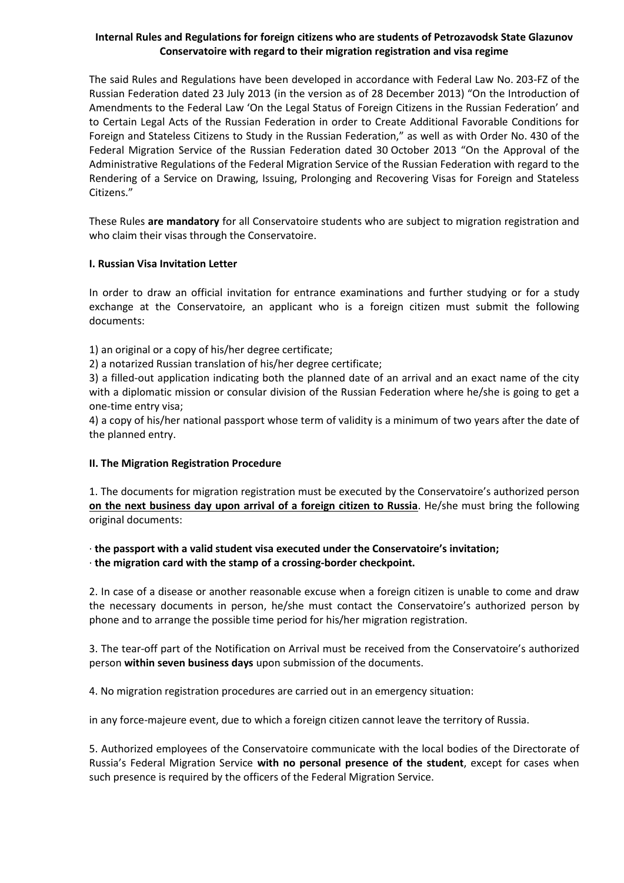## **Internal Rules and Regulations for foreign citizens who are students of Petrozavodsk State Glazunov Conservatoire with regard to their migration registration and visa regime**

The said Rules and Regulations have been developed in accordance with Federal Law No. 203-FZ of the Russian Federation dated 23 July 2013 (in the version as of 28 December 2013) "On the Introduction of Amendments to the Federal Law 'On the Legal Status of Foreign Citizens in the Russian Federation' and to Certain Legal Acts of the Russian Federation in order to Create Additional Favorable Conditions for Foreign and Stateless Citizens to Study in the Russian Federation," as well as with Order No. 430 of the Federal Migration Service of the Russian Federation dated 30 October 2013 "On the Approval of the Administrative Regulations of the Federal Migration Service of the Russian Federation with regard to the Rendering of a Service on Drawing, Issuing, Prolonging and Recovering Visas for Foreign and Stateless Citizens."

These Rules **are mandatory** for all Conservatoire students who are subject to migration registration and who claim their visas through the Conservatoire.

## **I. Russian Visa Invitation Letter**

In order to draw an official invitation for entrance examinations and further studying or for a study exchange at the Conservatoire, an applicant who is a foreign citizen must submit the following documents:

1) an original or a copy of his/her degree certificate;

2) a notarized Russian translation of his/her degree certificate;

3) a filled-out application indicating both the planned date of an arrival and an exact name of the city with a diplomatic mission or consular division of the Russian Federation where he/she is going to get a one-time entry visa;

4) a copy of his/her national passport whose term of validity is a minimum of two years after the date of the planned entry.

### **II. The Migration Registration Procedure**

1. The documents for migration registration must be executed by the Conservatoire's authorized person **on the next business day upon arrival of a foreign citizen to Russia**. He/she must bring the following original documents:

· **the passport with a valid student visa executed under the Conservatoire's invitation;** · **the migration card with the stamp of a crossing-border checkpoint.**

2. In case of a disease or another reasonable excuse when a foreign citizen is unable to come and draw the necessary documents in person, he/she must contact the Conservatoire's authorized person by phone and to arrange the possible time period for his/her migration registration.

3. The tear-off part of the Notification on Arrival must be received from the Conservatoire's authorized person **within seven business days** upon submission of the documents.

4. No migration registration procedures are carried out in an emergency situation:

in any force-majeure event, due to which a foreign citizen cannot leave the territory of Russia.

5. Authorized employees of the Conservatoire communicate with the local bodies of the Directorate of Russia's Federal Migration Service **with no personal presence of the student**, except for cases when such presence is required by the officers of the Federal Migration Service.